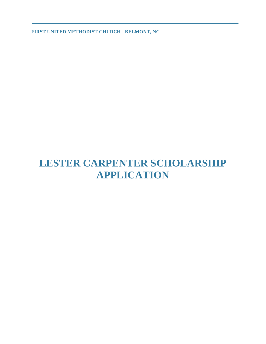# **LESTER CARPENTER SCHOLARSHIP APPLICATION**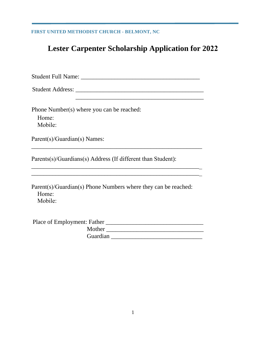# **Lester Carpenter Scholarship Application for 2022**

Student Full Name: \_\_\_\_\_\_\_\_\_\_\_\_\_\_\_\_\_\_\_\_\_\_\_\_\_\_\_\_\_\_\_\_\_\_\_\_\_\_\_

Student Address: \_\_\_\_\_\_\_\_\_\_\_\_\_\_\_\_\_\_\_\_\_\_\_\_\_\_\_\_\_\_\_\_\_\_\_\_\_\_\_\_\_\_

Phone Number(s) where you can be reached:

 Home: Mobile:

Parent(s)/Guardian(s) Names:

Parents(s)/Guardians(s) Address (If different than Student):

Parent(s)/Guardian(s) Phone Numbers where they can be reached: Home: Mobile:

\_\_\_\_\_\_\_\_\_\_\_\_\_\_\_\_\_\_\_\_\_\_\_\_\_\_\_\_\_\_\_\_\_\_\_\_\_\_\_\_\_\_\_\_\_\_\_\_\_\_\_\_\_\_\_\_

\_\_\_\_\_\_\_\_\_\_\_\_\_\_\_\_\_\_\_\_\_\_\_\_\_\_\_\_\_\_\_\_\_\_\_\_\_\_\_\_\_\_\_\_\_\_\_\_\_\_\_\_\_\_\_\_ \_\_\_\_\_\_\_\_\_\_\_\_\_\_\_\_\_\_\_\_\_\_\_\_\_\_\_\_\_\_\_\_\_\_\_\_\_\_\_\_\_\_\_\_\_\_\_\_\_\_\_\_\_\_\_\_

| Place of Employment: Father |  |
|-----------------------------|--|
| Mother                      |  |
| Guardian                    |  |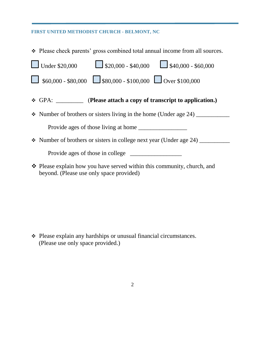Please check parents' gross combined total annual income from all sources.

| <b>Under \$20,000</b><br>$\Box$ \$20,000 - \$40,000 $\Box$ \$40,000 - \$60,000                                      |  |  |  |  |
|---------------------------------------------------------------------------------------------------------------------|--|--|--|--|
| $\left  \begin{array}{cc} 0.60000 & -880,000 \end{array} \right $ \$80,000 - \$100,000 $\Box$ Over \$100,000        |  |  |  |  |
| ❖ GPA: <u>________</u> (Please attach a copy of transcript to application.)                                         |  |  |  |  |
| • Number of brothers or sisters living in the home (Under age 24) $\frac{1}{2}$                                     |  |  |  |  |
|                                                                                                                     |  |  |  |  |
| • Number of brothers or sisters in college next year (Under age 24)                                                 |  |  |  |  |
| Provide ages of those in college                                                                                    |  |  |  |  |
| ❖ Please explain how you have served within this community, church, and<br>beyond. (Please use only space provided) |  |  |  |  |

 Please explain any hardships or unusual financial circumstances. (Please use only space provided.)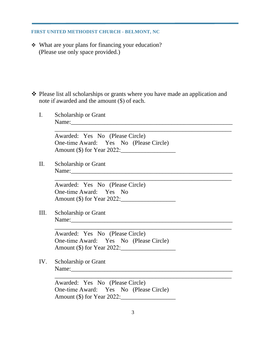What are your plans for financing your education? (Please use only space provided.)

• Please list all scholarships or grants where you have made an application and note if awarded and the amount (\$) of each.

\_\_\_\_\_\_\_\_\_\_\_\_\_\_\_\_\_\_\_\_\_\_\_\_\_\_\_\_\_\_\_\_\_\_\_\_\_\_\_\_\_\_\_\_\_\_\_\_\_\_\_\_\_\_\_\_\_\_

\_\_\_\_\_\_\_\_\_\_\_\_\_\_\_\_\_\_\_\_\_\_\_\_\_\_\_\_\_\_\_\_\_\_\_\_\_\_\_\_\_\_\_\_\_\_\_\_\_\_\_\_\_\_\_\_\_\_

\_\_\_\_\_\_\_\_\_\_\_\_\_\_\_\_\_\_\_\_\_\_\_\_\_\_\_\_\_\_\_\_\_\_\_\_\_\_\_\_\_\_\_\_\_\_\_\_\_\_\_\_\_\_\_\_\_\_

\_\_\_\_\_\_\_\_\_\_\_\_\_\_\_\_\_\_\_\_\_\_\_\_\_\_\_\_\_\_\_\_\_\_\_\_\_\_\_\_\_\_\_\_\_\_\_\_\_\_\_\_\_\_\_\_\_\_

I. Scholarship or Grant Name:

Awarded: Yes No (Please Circle) One-time Award: Yes No (Please Circle) Amount (\$) for Year 2022:\_\_\_\_\_\_\_\_\_\_\_\_\_\_\_\_\_\_

II. Scholarship or Grant Name:\_\_\_\_\_\_\_\_\_\_\_\_\_\_\_\_\_\_\_\_\_\_\_\_\_\_\_\_\_\_\_\_\_\_\_\_\_\_\_\_\_\_\_\_\_\_\_\_\_\_\_\_\_

Awarded: Yes No (Please Circle) One-time Award: Yes No Amount (\$) for Year 2022:\_\_\_\_\_\_\_\_\_\_\_\_\_\_\_\_\_\_

III. Scholarship or Grant Name:\_\_\_\_\_\_\_\_\_\_\_\_\_\_\_\_\_\_\_\_\_\_\_\_\_\_\_\_\_\_\_\_\_\_\_\_\_\_\_\_\_\_\_\_\_\_\_\_\_\_\_\_\_

Awarded: Yes No (Please Circle) One-time Award: Yes No (Please Circle) Amount (\$) for Year 2022:\_\_\_\_\_\_\_\_\_\_\_\_\_\_\_\_\_\_

IV. Scholarship or Grant Name:

Awarded: Yes No (Please Circle) One-time Award: Yes No (Please Circle) Amount (\$) for Year 2022:\_\_\_\_\_\_\_\_\_\_\_\_\_\_\_\_\_\_